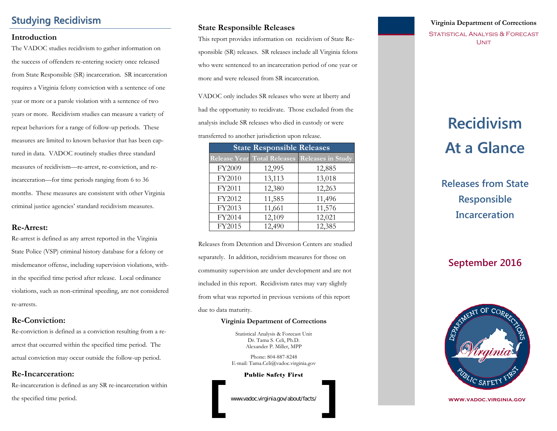# **Studying Recidivism**

#### **Introduction**

The VADOC studies recidivism to gather information on the success of offenders re-entering society once released from State Responsible (SR) incarceration. SR incarceration requires a Virginia felony conviction with a sentence of one year or more or a parole violation with a sentence of two years or more. Recidivism studies can measure a variety of repeat behaviors for a range of follow-up periods. These measures are limited to known behavior that has been captured in data. VADOC routinely studies three standard measures of recidivism—re-arrest, re-conviction, and reincarceration—for time periods ranging from 6 to 36 months. These measures are consistent with other Virginia criminal justice agencies' standard recidivism measures.

#### **Re-Arrest:**

Re-arrest is defined as any arrest reported in the Virginia State Police (VSP) criminal history database for a felony or misdemeanor offense, including supervision violations, within the specified time period after release. Local ordinance violations, such as non-criminal speeding, are not considered re-arrests.

#### **Re-Conviction:**

Re-conviction is defined as a conviction resulting from a rearrest that occurred within the specified time period. The actual conviction may occur outside the follow-up period.

#### **Re-Incarceration:**

Re-incarceration is defined as any SR re-incarceration within the specified time period.

#### **State Responsible Releases**

This report provides information on recidivism of State Responsible (SR) releases. SR releases include all Virginia felons who were sentenced to an incarceration period of one year or more and were released from SR incarceration.

VADOC only includes SR releases who were at liberty and had the opportunity to recidivate. Those excluded from the analysis include SR releases who died in custody or were transferred to another jurisdiction upon release.

| <b>State Responsible Releases</b> |        |                                               |  |  |
|-----------------------------------|--------|-----------------------------------------------|--|--|
|                                   |        | Release Year Total Releases Releases in Study |  |  |
| FY2009                            | 12,995 | 12,885                                        |  |  |
| FY2010                            | 13,113 | 13,018                                        |  |  |
| FY2011                            | 12,380 | 12,263                                        |  |  |
| FY2012                            | 11,585 | 11,496                                        |  |  |
| FY2013                            | 11,661 | 11,576                                        |  |  |
| FY2014                            | 12,109 | 12,021                                        |  |  |
| FY2015                            | 12,490 | 12,385                                        |  |  |

Releases from Detention and Diversion Centers are studied separately. In addition, recidivism measures for those on community supervision are under development and are not included in this report. Recidivism rates may vary slightly from what was reported in previous versions of this report due to data maturity.

#### **Virginia Department of Corrections**

Statistical Analysis & Forecast Unit Dr. Tama S. Celi, Ph.D. Alexander P. Miller, MPP

Phone: 804-887-8248 E-mail: Tama.Celi@vadoc.virginia.gov

Public Safety First

www.vadoc.virginia.gov/about/facts/

### **Virginia Department of Corrections**

STATISTICAL ANALYSIS & FORECAST **UNIT** 

# **Recidivism Recidivism At a Glance At a Glance**

**Releases from State Responsible Incarceration**

# **September 2016**



**www.vadoc.virginia.gov**